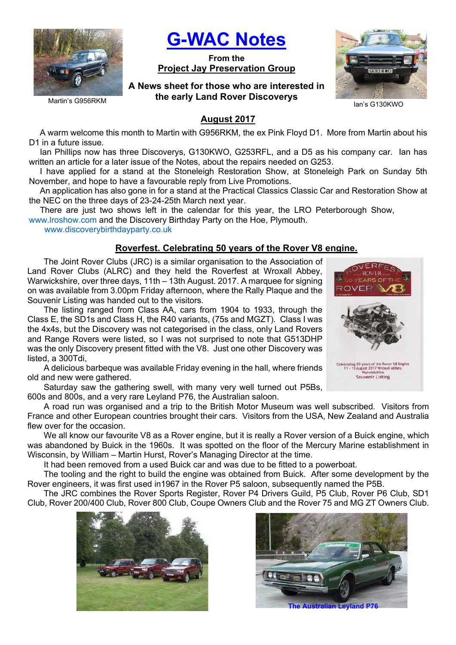

G-WAC Notes

From the Project Jay Preservation Group

A News sheet for those who are interested in the early Land Rover Discoverys



Ian's G130KWO

#### Martin's G956RKM

## August 2017

A warm welcome this month to Martin with G956RKM, the ex Pink Floyd D1. More from Martin about his D1 in a future issue.

Ian Phillips now has three Discoverys, G130KWO, G253RFL, and a D5 as his company car. Ian has written an article for a later issue of the Notes, about the repairs needed on G253.

I have applied for a stand at the Stoneleigh Restoration Show, at Stoneleigh Park on Sunday 5th November, and hope to have a favourable reply from Live Promotions.

An application has also gone in for a stand at the Practical Classics Classic Car and Restoration Show at the NEC on the three days of 23-24-25th March next year.

There are just two shows left in the calendar for this year, the LRO Peterborough Show,

www.lroshow.com and the Discovery Birthday Party on the Hoe, Plymouth.

www.discoverybirthdayparty.co.uk

### Roverfest. Celebrating 50 years of the Rover V8 engine.

The Joint Rover Clubs (JRC) is a similar organisation to the Association of Land Rover Clubs (ALRC) and they held the Roverfest at Wroxall Abbey, Warwickshire, over three days, 11th – 13th August. 2017. A marquee for signing on was available from 3.00pm Friday afternoon, where the Rally Plaque and the Souvenir Listing was handed out to the visitors.

The listing ranged from Class AA, cars from 1904 to 1933, through the Class E, the SD1s and Class H, the R40 variants, (75s and MGZT). Class I was the 4x4s, but the Discovery was not categorised in the class, only Land Rovers and Range Rovers were listed, so I was not surprised to note that G513DHP was the only Discovery present fitted with the V8. Just one other Discovery was listed, a 300Tdi,

A delicious barbeque was available Friday evening in the hall, where friends old and new were gathered.

Saturday saw the gathering swell, with many very well turned out P5Bs, 600s and 800s, and a very rare Leyland P76, the Australian saloon.

A road run was organised and a trip to the British Motor Museum was well subscribed. Visitors from France and other European countries brought their cars. Visitors from the USA, New Zealand and Australia flew over for the occasion.

We all know our favourite V8 as a Rover engine, but it is really a Rover version of a Buick engine, which was abandoned by Buick in the 1960s. It was spotted on the floor of the Mercury Marine establishment in Wisconsin, by William – Martin Hurst, Rover's Managing Director at the time.

It had been removed from a used Buick car and was due to be fitted to a powerboat.

The tooling and the right to build the engine was obtained from Buick. After some development by the Rover engineers, it was first used in1967 in the Rover P5 saloon, subsequently named the P5B.

The JRC combines the Rover Sports Register, Rover P4 Drivers Guild, P5 Club, Rover P6 Club, SD1 Club, Rover 200/400 Club, Rover 800 Club, Coupe Owners Club and the Rover 75 and MG ZT Owners Club.





**The Australian Leyland P76** 

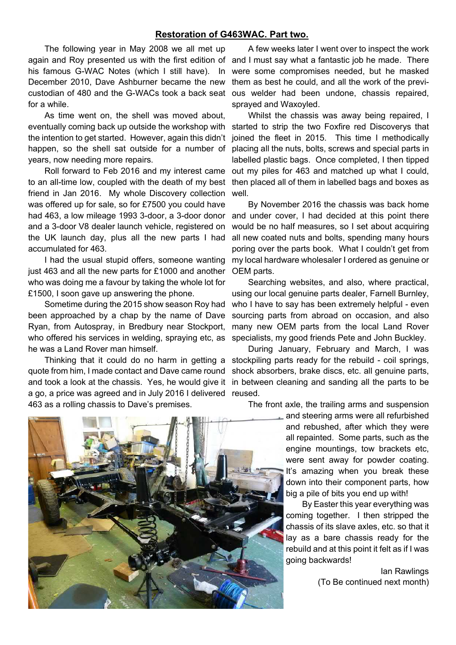#### Restoration of G463WAC. Part two.

The following year in May 2008 we all met up again and Roy presented us with the first edition of his famous G-WAC Notes (which I still have). In December 2010, Dave Ashburner became the new custodian of 480 and the G-WACs took a back seat for a while.

As time went on, the shell was moved about, eventually coming back up outside the workshop with the intention to get started. However, again this didn't years, now needing more repairs.

Roll forward to Feb 2016 and my interest came friend in Jan 2016. My whole Discovery collection was offered up for sale, so for £7500 you could have had 463, a low mileage 1993 3-door, a 3-door donor and a 3-door V8 dealer launch vehicle, registered on the UK launch day, plus all the new parts I had accumulated for 463.

I had the usual stupid offers, someone wanting just 463 and all the new parts for £1000 and another who was doing me a favour by taking the whole lot for £1500, I soon gave up answering the phone.

Sometime during the 2015 show season Roy had been approached by a chap by the name of Dave Ryan, from Autospray, in Bredbury near Stockport, who offered his services in welding, spraying etc, as he was a Land Rover man himself.

Thinking that it could do no harm in getting a quote from him, I made contact and Dave came round and took a look at the chassis. Yes, he would give it a go, a price was agreed and in July 2016 I delivered 463 as a rolling chassis to Dave's premises.

A few weeks later I went over to inspect the work and I must say what a fantastic job he made. There were some compromises needed, but he masked them as best he could, and all the work of the previous welder had been undone, chassis repaired, sprayed and Waxoyled.

happen, so the shell sat outside for a number of placing all the nuts, bolts, screws and special parts in to an all-time low, coupled with the death of my best then placed all of them in labelled bags and boxes as Whilst the chassis was away being repaired, I started to strip the two Foxfire red Discoverys that joined the fleet in 2015. This time I methodically labelled plastic bags. Once completed, I then tipped out my piles for 463 and matched up what I could, well.

> By November 2016 the chassis was back home and under cover, I had decided at this point there would be no half measures, so I set about acquiring all new coated nuts and bolts, spending many hours poring over the parts book. What I couldn't get from my local hardware wholesaler I ordered as genuine or OEM parts.

> Searching websites, and also, where practical, using our local genuine parts dealer, Farnell Burnley, who I have to say has been extremely helpful - even sourcing parts from abroad on occasion, and also many new OEM parts from the local Land Rover specialists, my good friends Pete and John Buckley.

> During January, February and March, I was stockpiling parts ready for the rebuild - coil springs, shock absorbers, brake discs, etc. all genuine parts, in between cleaning and sanding all the parts to be reused.

The front axle, the trailing arms and suspension

and steering arms were all refurbished and rebushed, after which they were all repainted. Some parts, such as the engine mountings, tow brackets etc, were sent away for powder coating. It's amazing when you break these down into their component parts, how big a pile of bits you end up with!

By Easter this year everything was coming together. I then stripped the chassis of its slave axles, etc. so that it lay as a bare chassis ready for the rebuild and at this point it felt as if I was going backwards!

> Ian Rawlings (To Be continued next month)

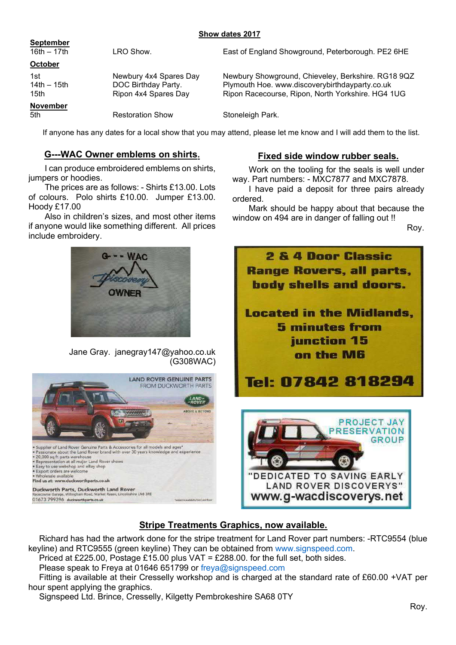### Show dates 2017

| <b>September</b><br>16th $-17$ th        | LRO Show.                                                             | East of England Showground, Peterborough. PE2 6HE                                                                                                         |
|------------------------------------------|-----------------------------------------------------------------------|-----------------------------------------------------------------------------------------------------------------------------------------------------------|
| October                                  |                                                                       |                                                                                                                                                           |
| 1st<br>14th $-$ 15th<br>15 <sub>th</sub> | Newbury 4x4 Spares Day<br>DOC Birthday Party.<br>Ripon 4x4 Spares Day | Newbury Showground, Chieveley, Berkshire. RG18 9QZ<br>Plymouth Hoe. www.discoverybirthdayparty.co.uk<br>Ripon Racecourse, Ripon, North Yorkshire. HG4 1UG |
| <b>November</b><br>5th                   | <b>Restoration Show</b>                                               | Stoneleigh Park.                                                                                                                                          |

If anyone has any dates for a local show that you may attend, please let me know and I will add them to the list.

# G---WAC Owner emblems on shirts.

I can produce embroidered emblems on shirts, jumpers or hoodies.

The prices are as follows: - Shirts £13.00. Lots of colours. Polo shirts £10.00. Jumper £13.00. Hoody £17.00

Also in children's sizes, and most other items if anyone would like something different. All prices include embroidery.



Jane Gray. janegray147@yahoo.co.uk (G308WAC)



## Fixed side window rubber seals.

Work on the tooling for the seals is well under way. Part numbers: - MXC7877 and MXC7878.

I have paid a deposit for three pairs already ordered.

Mark should be happy about that because the window on 494 are in danger of falling out !!

Roy.



# Stripe Treatments Graphics, now available.

Richard has had the artwork done for the stripe treatment for Land Rover part numbers: -RTC9554 (blue keyline) and RTC9555 (green keyline) They can be obtained from www.signspeed.com.

Priced at £225.00, Postage £15.00 plus VAT = £288.00. for the full set, both sides.

Please speak to Freya at 01646 651799 or freya@signspeed.com

Fitting is available at their Cresselly workshop and is charged at the standard rate of £60.00 +VAT per hour spent applying the graphics.

Signspeed Ltd. Brince, Cresselly, Kilgetty Pembrokeshire SA68 0TY